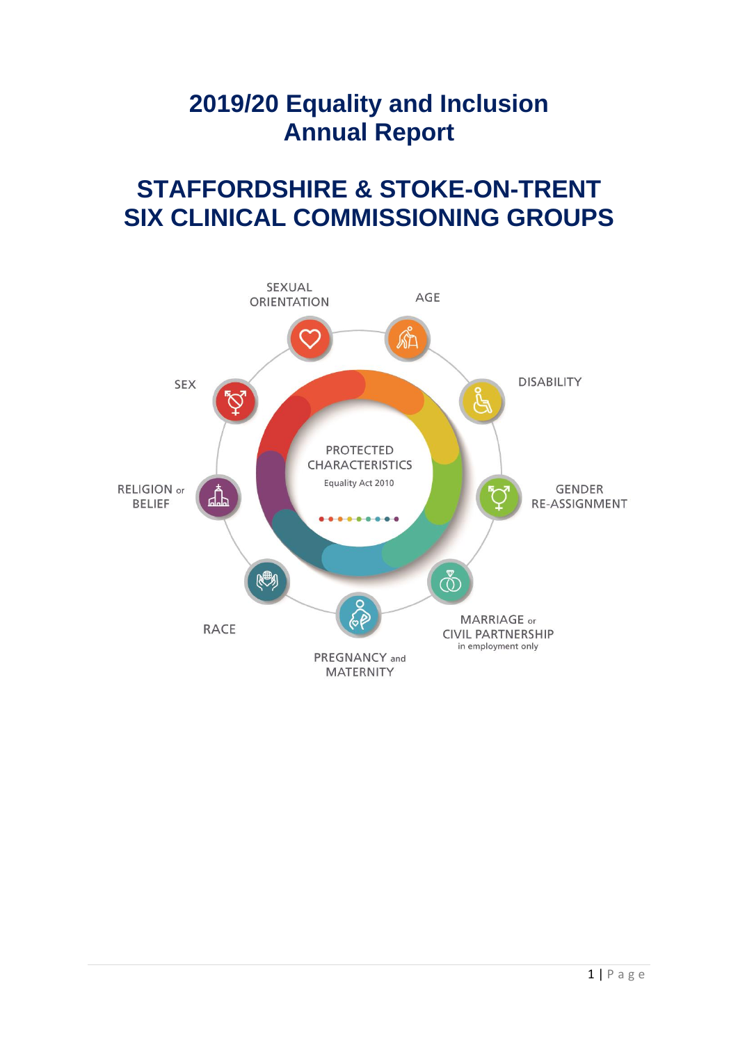# **2019/20 Equality and Inclusion Annual Report**

# **STAFFORDSHIRE & STOKE-ON-TRENT SIX CLINICAL COMMISSIONING GROUPS**

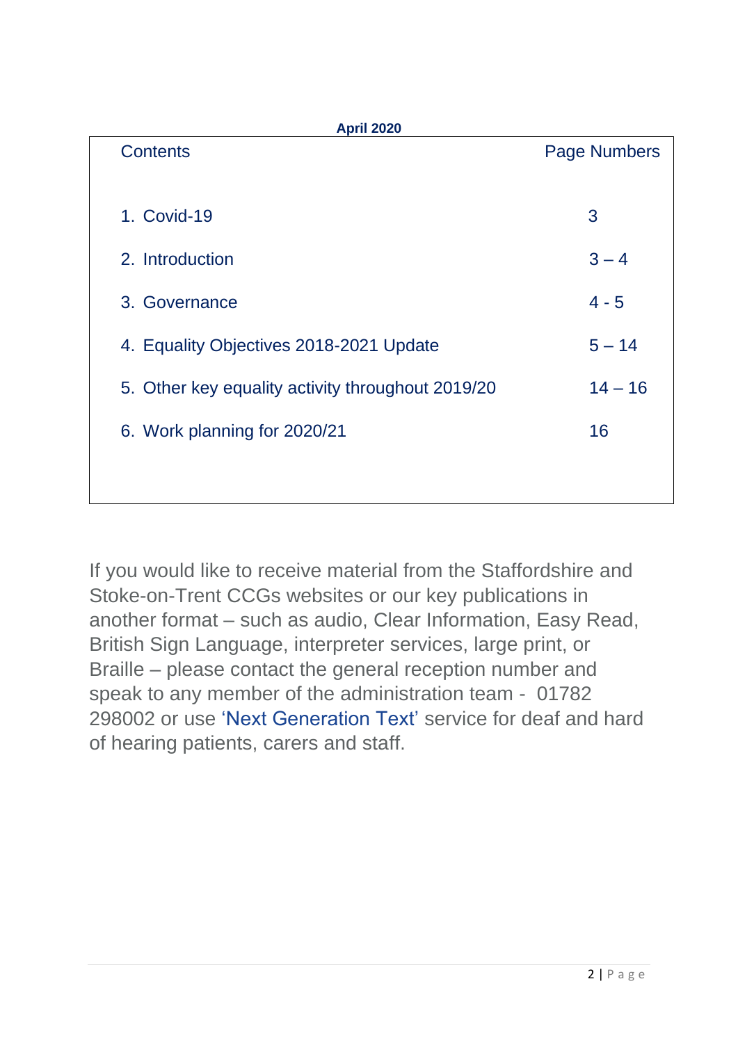| <b>Contents</b>                                   | <b>Page Numbers</b> |
|---------------------------------------------------|---------------------|
|                                                   |                     |
| 1. Covid-19                                       | 3                   |
| 2. Introduction                                   | $3 - 4$             |
| 3. Governance                                     | $4 - 5$             |
| 4. Equality Objectives 2018-2021 Update           | $5 - 14$            |
| 5. Other key equality activity throughout 2019/20 | $14 - 16$           |
| 6. Work planning for 2020/21                      | 16                  |
|                                                   |                     |

If you would like to receive material from the Staffordshire and Stoke-on-Trent CCGs websites or our key publications in another format – such as audio, Clear Information, Easy Read, British Sign Language, interpreter services, large print, or Braille – please contact the general reception number and speak to any member of the administration team - 01782 298002 or use ['Next Generation Text'](https://www.ngts.org.uk/) service for deaf and hard of hearing patients, carers and staff.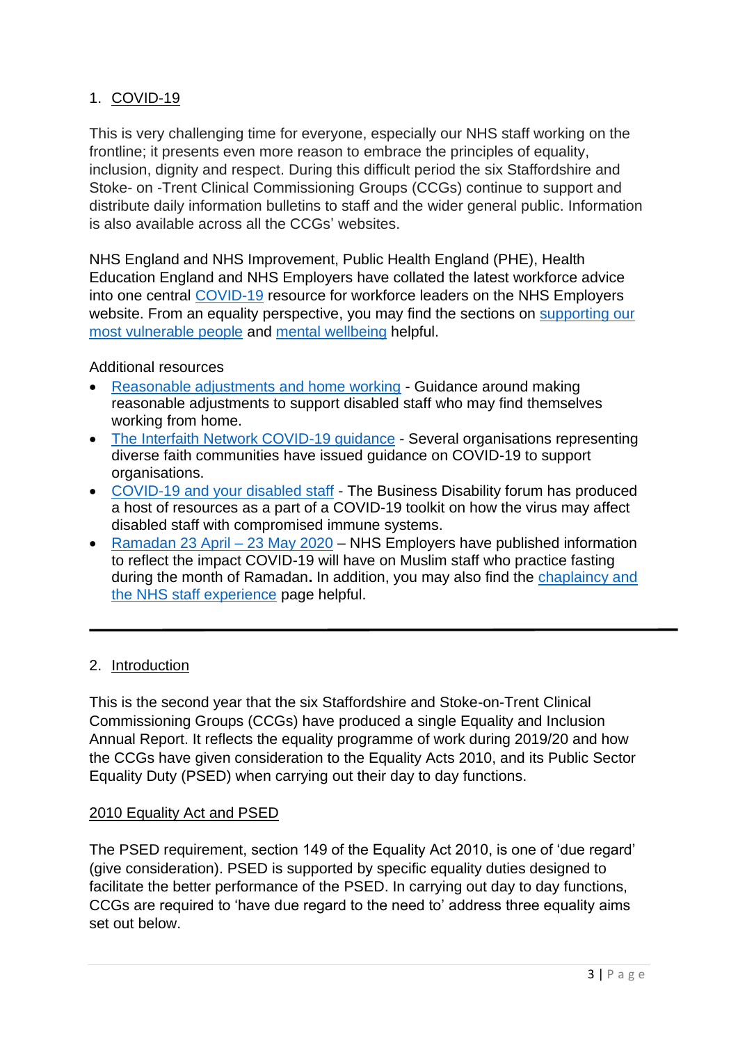# 1. COVID-19

This is very challenging time for everyone, especially our NHS staff working on the frontline; it presents even more reason to embrace the principles of equality, inclusion, dignity and respect. During this difficult period the six Staffordshire and Stoke- on -Trent Clinical Commissioning Groups (CCGs) continue to support and distribute daily information bulletins to staff and the wider general public. Information is also available across all the CCGs' websites.

NHS England and NHS Improvement, Public Health England (PHE), Health Education England and NHS Employers have collated the latest workforce advice into one central [COVID-19](https://www.nhsemployers.org/covid19) resource for workforce leaders on the NHS Employers website. From an equality perspective, you may find the sections on [supporting our](https://www.nhsemployers.org/covid19/health-safety-and-wellbeing/supporting-our-most-vulnerable-people)  [most vulnerable people](https://www.nhsemployers.org/covid19/health-safety-and-wellbeing/supporting-our-most-vulnerable-people) and [mental wellbeing](https://www.nhsemployers.org/covid19/health-safety-and-wellbeing/mental-wellbeing) helpful.

Additional resources

- [Reasonable adjustments and home working](https://www.nhsemployers.org/retention-and-staff-experience/diversity-and-inclusion/policy-and-guidance/disability/reasonable-adjustments-in-the-workplace) Guidance around making reasonable adjustments to support disabled staff who may find themselves working from home.
- [The Interfaith Network COVID-19 guidance](https://www.interfaith.org.uk/news/faith-communities-and-coronavirus) Several organisations representing diverse faith communities have issued guidance on COVID-19 to support organisations.
- [COVID-19 and your disabled staff](https://businessdisabilityforum.org.uk/our-services/resources/covid-19/) The Business Disability forum has produced a host of resources as a part of a [COVID-19 toolkit](https://businessdisabilityforum.us9.list-manage.com/track/click?u=6bb0a995610e4c9d9bf5bb476&id=e699aec050&e=59c7c93c7d) on how the virus may affect disabled staff with compromised immune systems.
- [Ramadan 23 April –](https://www.nhsemployers.org/news/2020/04/ramadan-2020) 23 May 2020 NHS Employers have published information to reflect the impact COVID-19 will have on Muslim staff who practice fasting during the month of Ramadan**.** In addition, you may also find the [chaplaincy and](https://www.nhsemployers.org/retention-and-staff-experience/diversity-and-inclusion/policy-and-guidance/religion/chaplaincy-and-the-nhs-staff-experience)  [the NHS staff experience](https://www.nhsemployers.org/retention-and-staff-experience/diversity-and-inclusion/policy-and-guidance/religion/chaplaincy-and-the-nhs-staff-experience) page helpful.

#### 2. Introduction

This is the second year that the six Staffordshire and Stoke-on-Trent Clinical Commissioning Groups (CCGs) have produced a single Equality and Inclusion Annual Report. It reflects the equality programme of work during 2019/20 and how the CCGs have given consideration to the Equality Acts 2010, and its Public Sector Equality Duty (PSED) when carrying out their day to day functions.

#### 2010 Equality Act and PSED

The PSED requirement, section 149 of the Equality Act 2010, is one of 'due regard' (give consideration). PSED is supported by specific equality duties designed to facilitate the better performance of the PSED. In carrying out day to day functions, CCGs are required to 'have due regard to the need to' address three equality aims set out below.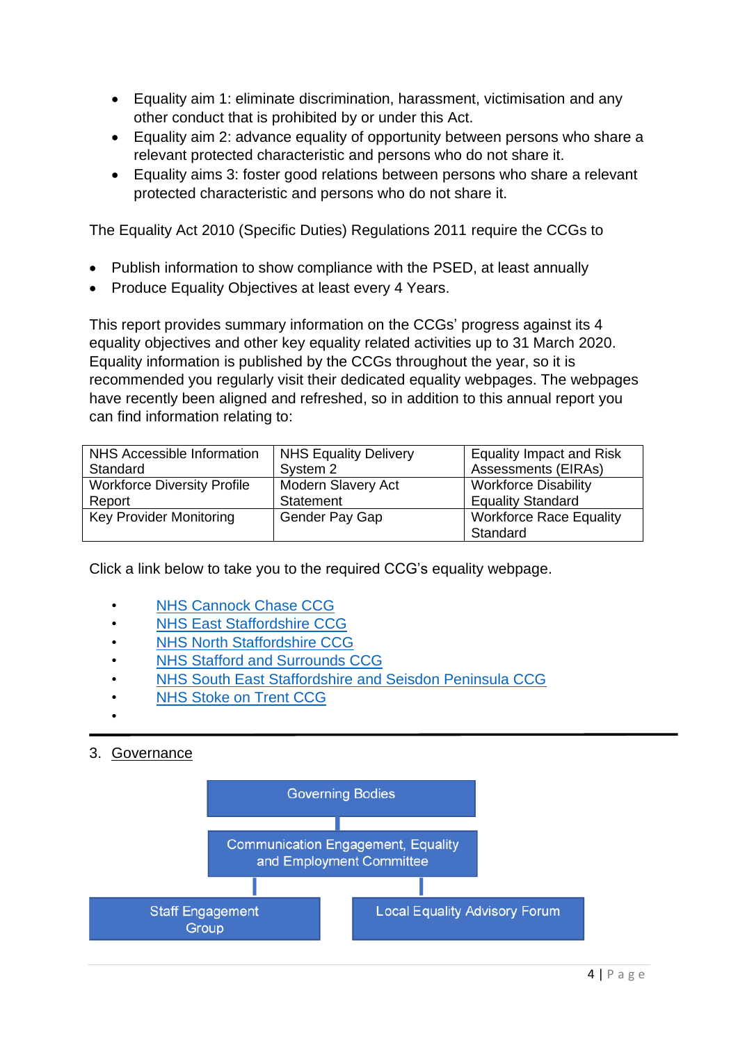- Equality aim 1: eliminate discrimination, harassment, victimisation and any other conduct that is prohibited by or under this Act.
- Equality aim 2: advance equality of opportunity between persons who share a relevant protected characteristic and persons who do not share it.
- Equality aims 3: foster good relations between persons who share a relevant protected characteristic and persons who do not share it.

The Equality Act 2010 (Specific Duties) Regulations 2011 require the CCGs to

- Publish information to show compliance with the PSED, at least annually
- Produce Equality Objectives at least every 4 Years.

This report provides summary information on the CCGs' progress against its 4 equality objectives and other key equality related activities up to 31 March 2020. Equality information is published by the CCGs throughout the year, so it is recommended you regularly visit their dedicated equality webpages. The webpages have recently been aligned and refreshed, so in addition to this annual report you can find information relating to:

| NHS Accessible Information         | NHS Equality Delivery     | <b>Equality Impact and Risk</b>            |
|------------------------------------|---------------------------|--------------------------------------------|
| Standard                           | System 2                  | <b>Assessments (EIRAs)</b>                 |
| <b>Workforce Diversity Profile</b> | <b>Modern Slavery Act</b> | <b>Workforce Disability</b>                |
| Report                             | Statement                 | <b>Equality Standard</b>                   |
| <b>Key Provider Monitoring</b>     | Gender Pay Gap            | <b>Workforce Race Equality</b><br>Standard |

Click a link below to take you to the required CCG's equality webpage.

- **[NHS Cannock Chase CCG](https://www.cannockchaseccg.nhs.uk/about-us/equality-and-inclusion)**
- [NHS East Staffordshire CCG](https://eaststaffsccg.nhs.uk/about-us/equality-and-diversity)
- **[NHS North Staffordshire CCG](https://www.northstaffsccg.nhs.uk/your-ccg/equality-inclusion)**
- **[NHS Stafford and Surrounds CCG](https://staffordsurroundsccg.nhs.uk/about-us/equality-and-diversity)**
- [NHS South East Staffordshire and Seisdon Peninsula CCG](https://sesandspccg.nhs.uk/about/equality-and-diversity)
- **[NHS Stoke on Trent CCG](https://www.stokeccg.nhs.uk/your-ccg-stoke/equality-inclusion)**
- •

# 3. Governance

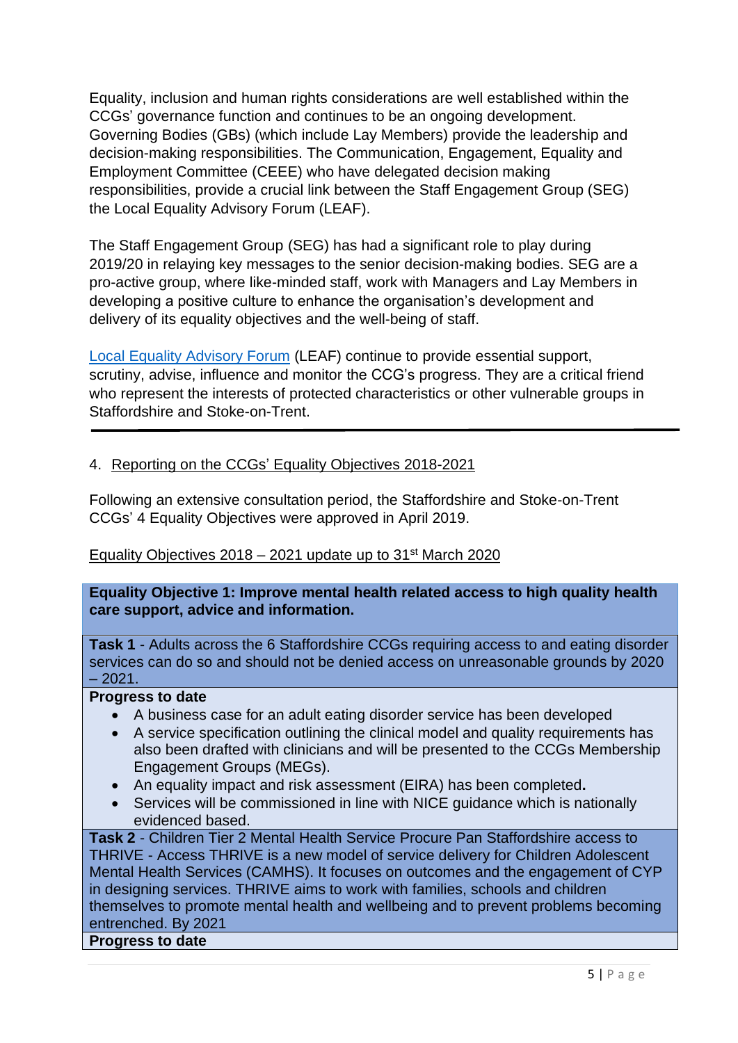Equality, inclusion and human rights considerations are well established within the CCGs' governance function and continues to be an ongoing development. Governing Bodies (GBs) (which include Lay Members) provide the leadership and decision-making responsibilities. The Communication, Engagement, Equality and Employment Committee (CEEE) who have delegated decision making responsibilities, provide a crucial link between the Staff Engagement Group (SEG) the Local Equality Advisory Forum (LEAF).

The Staff Engagement Group (SEG) has had a significant role to play during 2019/20 in relaying key messages to the senior decision-making bodies. SEG are a pro-active group, where like-minded staff, work with Managers and Lay Members in developing a positive culture to enhance the organisation's development and delivery of its equality objectives and the well-being of staff.

[Local Equality Advisory Forum](https://staffordsurroundsccg.nhs.uk/about-us/equality-and-diversity/local-equality-advisory-forum-leaf?highlight=WyJsYXkiLCJtZW1iZXJzIiwibGF5IG1lbWJlcnMiXQ==) (LEAF) continue to provide essential support, scrutiny, advise, influence and monitor the CCG's progress. They are a critical friend who represent the interests of protected characteristics or other vulnerable groups in Staffordshire and Stoke-on-Trent.

## 4. Reporting on the CCGs' Equality Objectives 2018-2021

Following an extensive consultation period, the Staffordshire and Stoke-on-Trent CCGs' 4 Equality Objectives were approved in April 2019.

#### Equality Objectives  $2018 - 2021$  update up to  $31<sup>st</sup>$  March 2020

**Equality Objective 1: Improve mental health related access to high quality health care support, advice and information.**

**Task 1** - Adults across the 6 Staffordshire CCGs requiring access to and eating disorder services can do so and should not be denied access on unreasonable grounds by 2020  $-2021.$ 

#### **Progress to date**

- A business case for an adult eating disorder service has been developed
- A service specification outlining the clinical model and quality requirements has also been drafted with clinicians and will be presented to the CCGs Membership Engagement Groups (MEGs).
- An equality impact and risk assessment (EIRA) has been completed**.**
- Services will be commissioned in line with NICE guidance which is nationally evidenced based.

**Task 2** - Children Tier 2 Mental Health Service Procure Pan Staffordshire access to THRIVE - Access THRIVE is a new model of service delivery for Children Adolescent Mental Health Services (CAMHS). It focuses on outcomes and the engagement of CYP in designing services. THRIVE aims to work with families, schools and children themselves to promote mental health and wellbeing and to prevent problems becoming entrenched. By 2021

**Progress to date**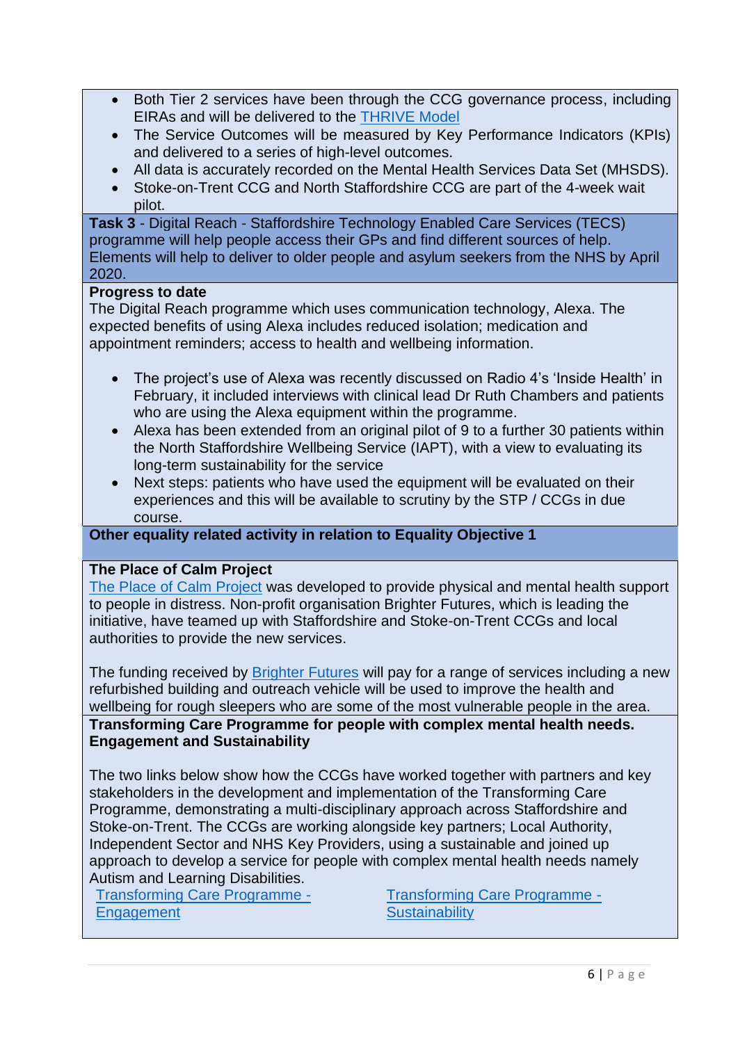- Both Tier 2 services have been through the CCG governance process, including EIRAs and will be delivered to the [THRIVE Model](https://www.annafreud.org/what-we-do/improving-help/thrive-framework/)
- The Service Outcomes will be measured by Key Performance Indicators (KPIs) and delivered to a series of high-level outcomes.
- All data is accurately recorded on the Mental Health Services Data Set (MHSDS).
- Stoke-on-Trent CCG and North Staffordshire CCG are part of the 4-week wait pilot.

**Task 3** - Digital Reach - Staffordshire Technology Enabled Care Services (TECS) programme will help people access their GPs and find different sources of help. Elements will help to deliver to older people and asylum seekers from the NHS by April 2020.

#### **Progress to date**

The Digital Reach programme which uses communication technology, Alexa. The expected benefits of using Alexa includes reduced isolation; medication and appointment reminders; access to health and wellbeing information.

- The project's use of Alexa was recently discussed on Radio 4's 'Inside Health' in February, it included interviews with clinical lead Dr Ruth Chambers and patients who are using the Alexa equipment within the programme.
- Alexa has been extended from an original pilot of 9 to a further 30 patients within the North Staffordshire Wellbeing Service (IAPT), with a view to evaluating its long-term sustainability for the service
- Next steps: patients who have used the equipment will be evaluated on their experiences and this will be available to scrutiny by the STP / CCGs in due course.

## **Other equality related activity in relation to Equality Objective 1**

#### **The Place of Calm Project**

[The Place of Calm](https://www.brighter-futures.org.uk/news/new-stoke-staffordshire-mental-health-partnership-secures-242000-funding/) Project was developed to provide physical and mental health support to people in distress. Non-profit organisation Brighter Futures, which is leading the initiative, have teamed up with Staffordshire and Stoke-on-Trent CCGs and local authorities to provide the new services.

The funding received by [Brighter Futures](https://www.brighter-futures.org.uk/) will pay for a range of services including a new refurbished building and outreach vehicle will be used to improve the health and wellbeing for rough sleepers who are some of the most vulnerable people in the area. **Transforming Care Programme for people with complex mental health needs. Engagement and Sustainability** 

The two links below show how the CCGs have worked together with partners and key stakeholders in the development and implementation of the Transforming Care Programme, demonstrating a multi-disciplinary approach across Staffordshire and Stoke-on-Trent. The CCGs are working alongside key partners; Local Authority, Independent Sector and NHS Key Providers, using a sustainable and joined up approach to develop a service for people with complex mental health needs namely Autism and Learning Disabilities.

[Transforming Care Programme -](https://youtu.be/6AlLRqDa0eU) [Engagement](https://youtu.be/6AlLRqDa0eU)

[Transforming Care Programme -](https://youtu.be/zEka2bjA_HU) **[Sustainability](https://youtu.be/zEka2bjA_HU)**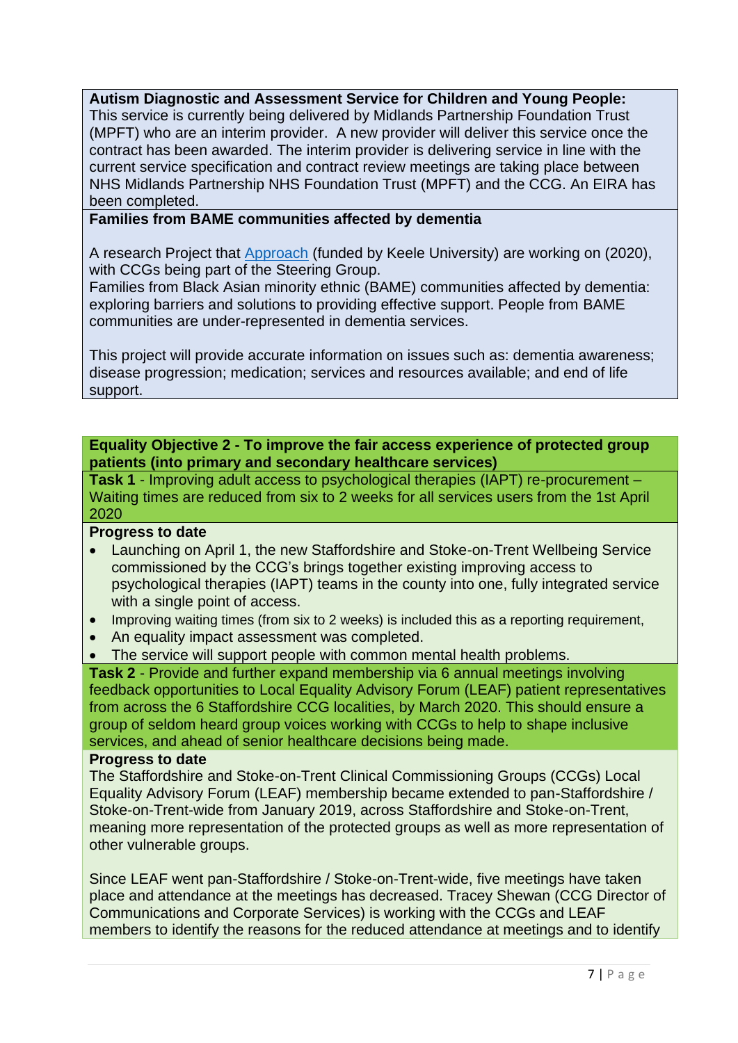**Autism Diagnostic and Assessment Service for Children and Young People:**

This service is currently being delivered by Midlands Partnership Foundation Trust (MPFT) who are an interim provider. A new provider will deliver this service once the contract has been awarded. The interim provider is delivering service in line with the current service specification and contract review meetings are taking place between NHS Midlands Partnership NHS Foundation Trust (MPFT) and the CCG. An EIRA has been completed.

**Families from BAME communities affected by dementia**

A research Project that [Approach](https://www.approachstaffordshire.co.uk/) (funded by Keele University) are working on (2020), with CCGs being part of the Steering Group.

Families from Black Asian minority ethnic (BAME) communities affected by dementia: exploring barriers and solutions to providing effective support. People from BAME communities are under-represented in dementia services.

This project will provide accurate information on issues such as: dementia awareness; disease progression; medication; services and resources available; and end of life support.

**Equality Objective 2 - To improve the fair access experience of protected group patients (into primary and secondary healthcare services)**

**Task 1** - Improving adult access to psychological therapies (IAPT) re-procurement – Waiting times are reduced from six to 2 weeks for all services users from the 1st April 2020

#### **Progress to date**

- Launching on April 1, the new Staffordshire and Stoke-on-Trent Wellbeing Service commissioned by the CCG's brings together existing improving access to psychological therapies (IAPT) teams in the county into one, fully integrated service with a single point of access.
- Improving waiting times (from six to 2 weeks) is included this as a reporting requirement,
- An equality impact assessment was completed.
- The service will support people with common mental health problems.

**Task 2** - Provide and further expand membership via 6 annual meetings involving feedback opportunities to Local Equality Advisory Forum (LEAF) patient representatives from across the 6 Staffordshire CCG localities, by March 2020. This should ensure a group of seldom heard group voices working with CCGs to help to shape inclusive services, and ahead of senior healthcare decisions being made.

### **Progress to date**

The Staffordshire and Stoke-on-Trent Clinical Commissioning Groups (CCGs) Local Equality Advisory Forum (LEAF) membership became extended to pan-Staffordshire / Stoke-on-Trent-wide from January 2019, across Staffordshire and Stoke-on-Trent, meaning more representation of the protected groups as well as more representation of other vulnerable groups.

Since LEAF went pan-Staffordshire / Stoke-on-Trent-wide, five meetings have taken place and attendance at the meetings has decreased. Tracey Shewan (CCG Director of Communications and Corporate Services) is working with the CCGs and LEAF members to identify the reasons for the reduced attendance at meetings and to identify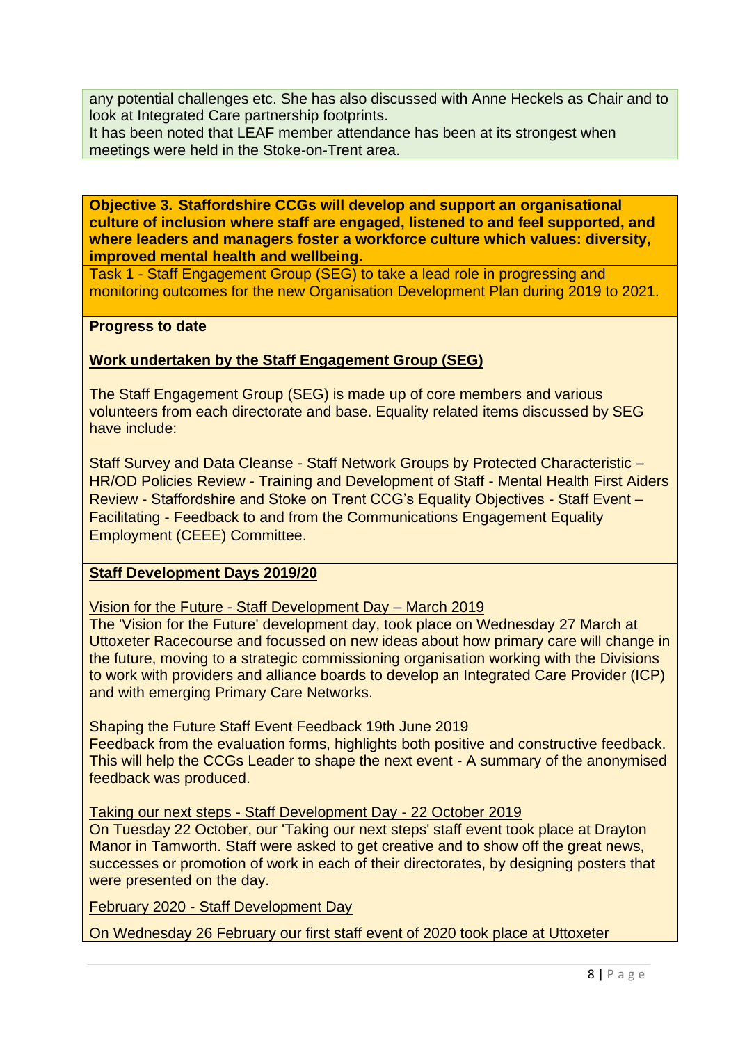any potential challenges etc. She has also discussed with Anne Heckels as Chair and to look at Integrated Care partnership footprints.

It has been noted that LEAF member attendance has been at its strongest when meetings were held in the Stoke-on-Trent area.

**Objective 3. Staffordshire CCGs will develop and support an organisational culture of inclusion where staff are engaged, listened to and feel supported, and where leaders and managers foster a workforce culture which values: diversity, improved mental health and wellbeing.**

Task 1 - Staff Engagement Group (SEG) to take a lead role in progressing and monitoring outcomes for the new Organisation Development Plan during 2019 to 2021.

#### **Progress to date**

#### **Work undertaken by the Staff Engagement Group (SEG)**

The Staff Engagement Group (SEG) is made up of core members and various volunteers from each directorate and base. Equality related items discussed by SEG have include:

Staff Survey and Data Cleanse - Staff Network Groups by Protected Characteristic – HR/OD Policies Review - Training and Development of Staff - Mental Health First Aiders Review - Staffordshire and Stoke on Trent CCG's Equality Objectives - Staff Event – Facilitating - Feedback to and from the Communications Engagement Equality Employment (CEEE) Committee.

#### **Staff Development Days 2019/20**

Vision for the Future - Staff Development Day – March 2019

The 'Vision for the Future' development day, took place on Wednesday 27 March at Uttoxeter Racecourse and focussed on new ideas about how primary care will change in the future, moving to a strategic commissioning organisation working with the Divisions to work with providers and alliance boards to develop an Integrated Care Provider (ICP) and with emerging Primary Care Networks.

Shaping the Future Staff Event Feedback 19th June 2019

Feedback from the evaluation forms, highlights both positive and constructive feedback. This will help the CCGs Leader to shape the next event - A summary of the anonymised feedback was produced.

Taking our next steps - Staff Development Day - 22 October 2019

On Tuesday 22 October, our 'Taking our next steps' staff event took place at Drayton Manor in Tamworth. Staff were asked to get creative and to show off the great news, successes or promotion of work in each of their directorates, by designing posters that were presented on the day.

February 2020 - Staff Development Day

On Wednesday 26 February our first staff event of 2020 took place at Uttoxeter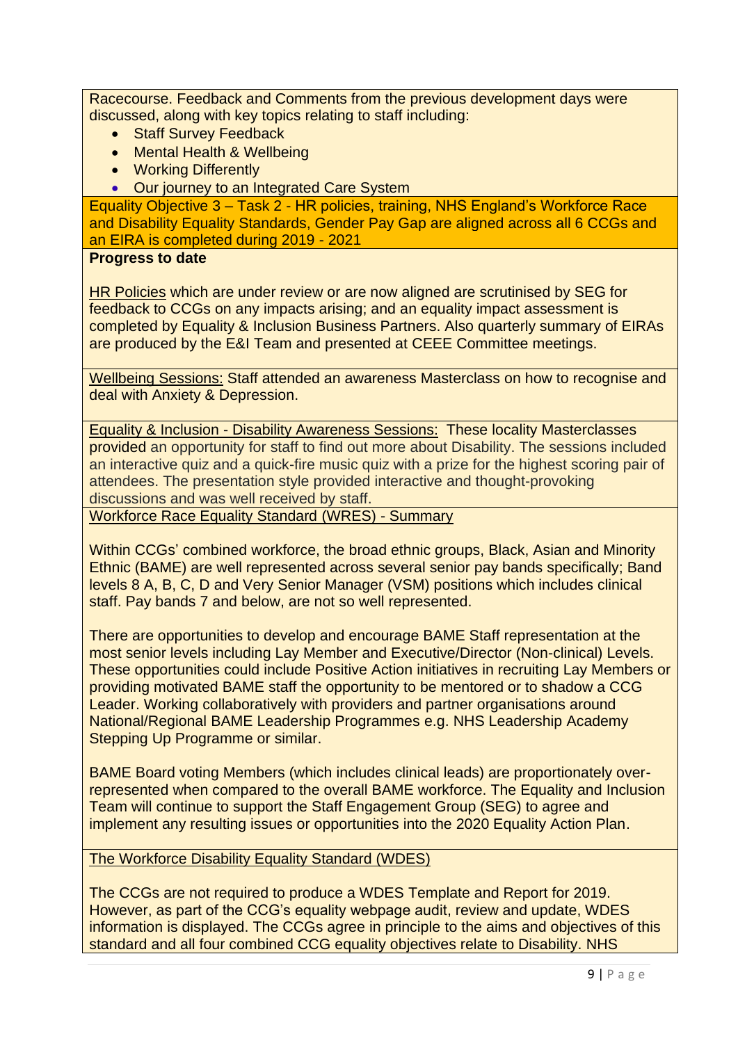Racecourse. Feedback and Comments from the previous development days were discussed, along with key topics relating to staff including:

- Staff Survey Feedback
- Mental Health & Wellbeing
- Working Differently
- Our journey to an Integrated Care System

Equality Objective 3 – Task 2 - HR policies, training, NHS England's Workforce Race and Disability Equality Standards, Gender Pay Gap are aligned across all 6 CCGs and an EIRA is completed during 2019 - 2021

#### **Progress to date**

HR Policies which are under review or are now aligned are scrutinised by SEG for feedback to CCGs on any impacts arising; and an equality impact assessment is completed by Equality & Inclusion Business Partners. Also quarterly summary of EIRAs are produced by the E&I Team and presented at CEEE Committee meetings.

Wellbeing Sessions: Staff attended an awareness Masterclass on how to recognise and deal with Anxiety & Depression.

Equality & Inclusion - Disability Awareness Sessions: These locality Masterclasses provided an opportunity for staff to find out more about Disability. The sessions included an interactive quiz and a quick-fire music quiz with a prize for the highest scoring pair of attendees. The presentation style provided interactive and thought-provoking discussions and was well received by staff.

Workforce Race Equality Standard (WRES) - Summary

Within CCGs' combined workforce, the broad ethnic groups, Black, Asian and Minority Ethnic (BAME) are well represented across several senior pay bands specifically; Band levels 8 A, B, C, D and Very Senior Manager (VSM) positions which includes clinical staff. Pay bands 7 and below, are not so well represented.

There are opportunities to develop and encourage BAME Staff representation at the most senior levels including Lay Member and Executive/Director (Non-clinical) Levels. These opportunities could include Positive Action initiatives in recruiting Lay Members or providing motivated BAME staff the opportunity to be mentored or to shadow a CCG Leader. Working collaboratively with providers and partner organisations around National/Regional BAME Leadership Programmes e.g. NHS Leadership Academy Stepping Up Programme or similar.

BAME Board voting Members (which includes clinical leads) are proportionately overrepresented when compared to the overall BAME workforce. The Equality and Inclusion Team will continue to support the Staff Engagement Group (SEG) to agree and implement any resulting issues or opportunities into the 2020 Equality Action Plan.

#### The Workforce Disability Equality Standard (WDES)

The CCGs are not required to produce a WDES Template and Report for 2019. However, as part of the CCG's equality webpage audit, review and update, WDES information is displayed. The CCGs agree in principle to the aims and objectives of this standard and all four combined CCG equality objectives relate to Disability. NHS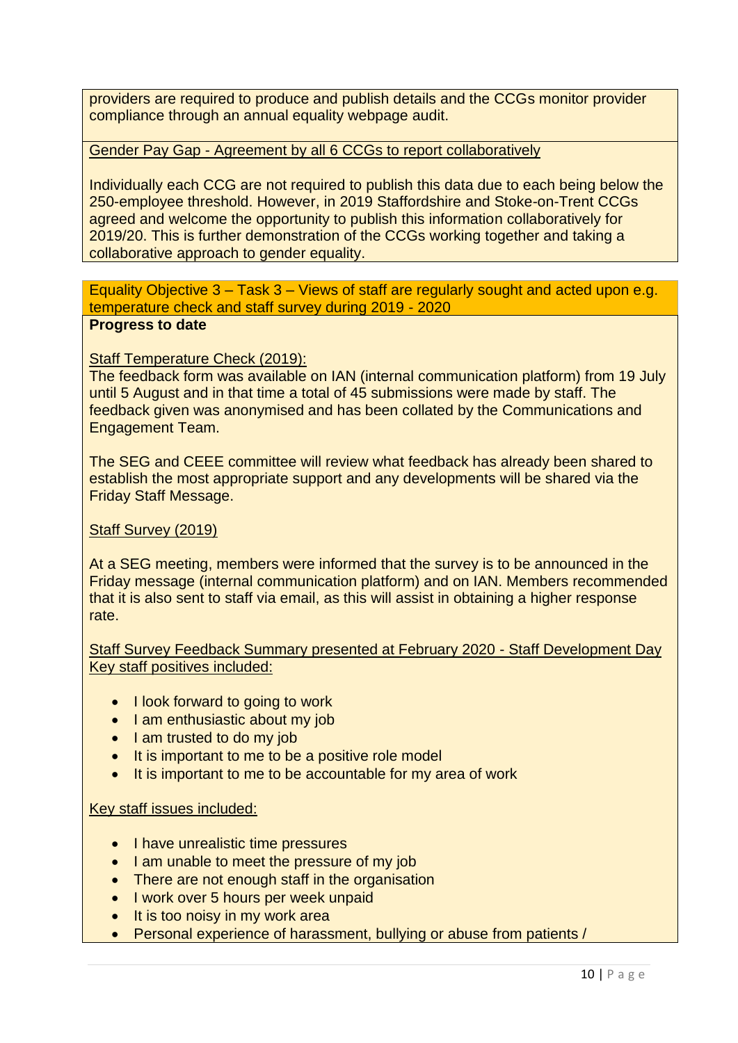providers are required to produce and publish details and the CCGs monitor provider compliance through an annual equality webpage audit.

#### Gender Pay Gap - Agreement by all 6 CCGs to report collaboratively

Individually each CCG are not required to publish this data due to each being below the 250-employee threshold. However, in 2019 Staffordshire and Stoke-on-Trent CCGs agreed and welcome the opportunity to publish this information collaboratively for 2019/20. This is further demonstration of the CCGs working together and taking a collaborative approach to gender equality.

Equality Objective 3 – Task 3 – Views of staff are regularly sought and acted upon e.g. temperature check and staff survey during 2019 - 2020 **Progress to date** 

#### Staff Temperature Check (2019):

The feedback form was available on IAN (internal communication platform) from 19 July until 5 August and in that time a total of 45 submissions were made by staff. The feedback given was anonymised and has been collated by the Communications and Engagement Team.

The SEG and CEEE committee will review what feedback has already been shared to establish the most appropriate support and any developments will be shared via the Friday Staff Message.

#### Staff Survey (2019)

At a SEG meeting, members were informed that the survey is to be announced in the Friday message (internal communication platform) and on IAN. Members recommended that it is also sent to staff via email, as this will assist in obtaining a higher response rate.

Staff Survey Feedback Summary presented at February 2020 - Staff Development Day Key staff positives included:

- I look forward to going to work
- I am enthusiastic about my job
- I am trusted to do my job
- It is important to me to be a positive role model
- It is important to me to be accountable for my area of work

#### Key staff issues included:

- I have unrealistic time pressures
- I am unable to meet the pressure of my job
- There are not enough staff in the organisation
- I work over 5 hours per week unpaid
- It is too noisy in my work area
- Personal experience of harassment, bullying or abuse from patients /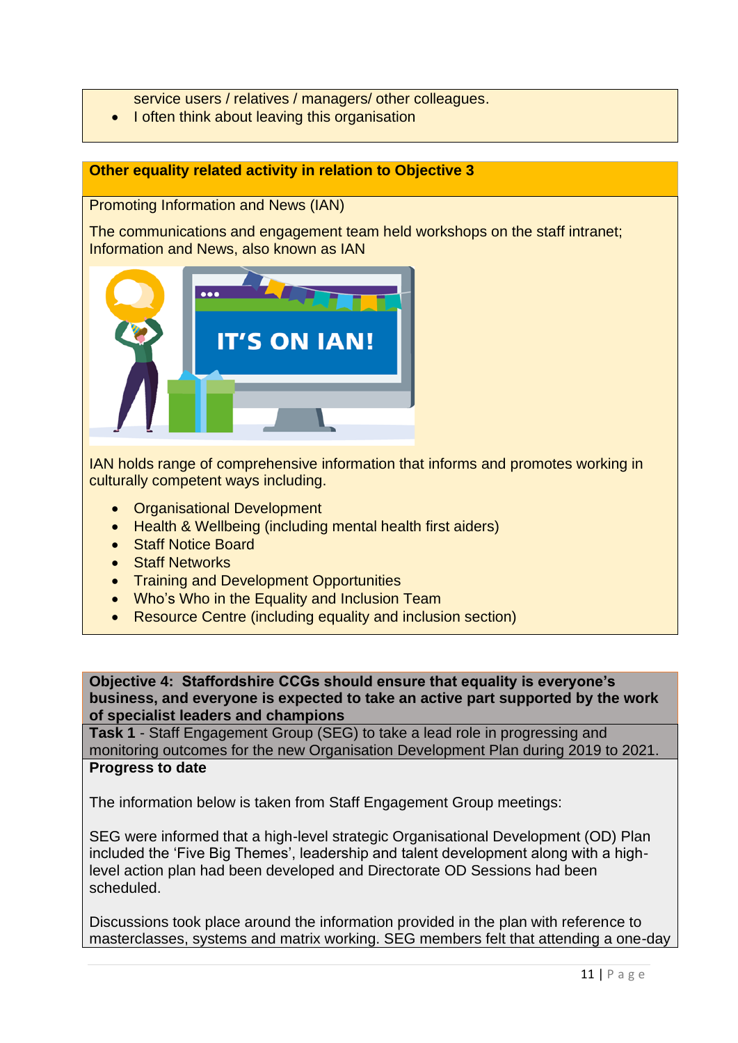service users / relatives / managers/ other colleagues.

• I often think about leaving this organisation

## **Other equality related activity in relation to Objective 3**

Promoting Information and News (IAN)

The communications and engagement team held workshops on the staff intranet; Information and News, also known as IAN



IAN holds range of comprehensive information that informs and promotes working in culturally competent ways including.

- Organisational Development
- Health & Wellbeing (including mental health first aiders)
- Staff Notice Board
- Staff Networks
- Training and Development Opportunities
- Who's Who in the Equality and Inclusion Team
- Resource Centre (including equality and inclusion section)

**Objective 4: Staffordshire CCGs should ensure that equality is everyone's business, and everyone is expected to take an active part supported by the work of specialist leaders and champions**

**Task 1** - Staff Engagement Group (SEG) to take a lead role in progressing and monitoring outcomes for the new Organisation Development Plan during 2019 to 2021. **Progress to date**

The information below is taken from Staff Engagement Group meetings:

SEG were informed that a high-level strategic Organisational Development (OD) Plan included the 'Five Big Themes', leadership and talent development along with a highlevel action plan had been developed and Directorate OD Sessions had been scheduled.

Discussions took place around the information provided in the plan with reference to masterclasses, systems and matrix working. SEG members felt that attending a one-day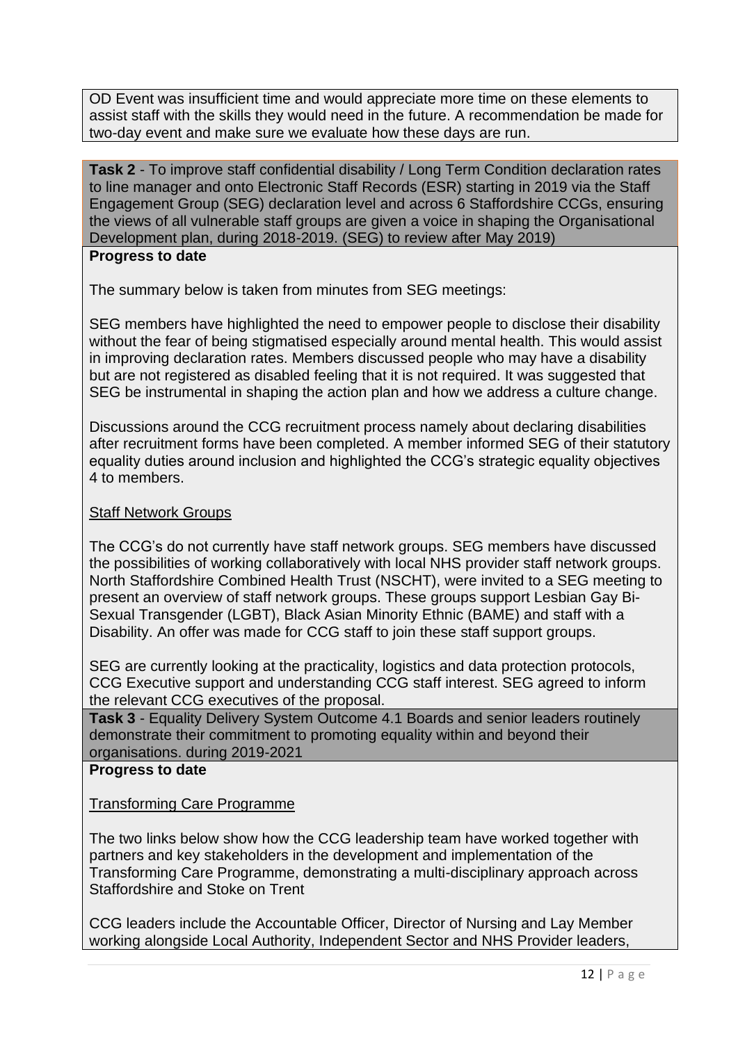OD Event was insufficient time and would appreciate more time on these elements to assist staff with the skills they would need in the future. A recommendation be made for two-day event and make sure we evaluate how these days are run.

**Task 2** - To improve staff confidential disability / Long Term Condition declaration rates to line manager and onto Electronic Staff Records (ESR) starting in 2019 via the Staff Engagement Group (SEG) declaration level and across 6 Staffordshire CCGs, ensuring the views of all vulnerable staff groups are given a voice in shaping the Organisational Development plan, during 2018-2019. (SEG) to review after May 2019)

#### **Progress to date**

The summary below is taken from minutes from SEG meetings:

SEG members have highlighted the need to empower people to disclose their disability without the fear of being stigmatised especially around mental health. This would assist in improving declaration rates. Members discussed people who may have a disability but are not registered as disabled feeling that it is not required. It was suggested that SEG be instrumental in shaping the action plan and how we address a culture change.

Discussions around the CCG recruitment process namely about declaring disabilities after recruitment forms have been completed. A member informed SEG of their statutory equality duties around inclusion and highlighted the CCG's strategic equality objectives 4 to members.

#### Staff Network Groups

The CCG's do not currently have staff network groups. SEG members have discussed the possibilities of working collaboratively with local NHS provider staff network groups. North Staffordshire Combined Health Trust (NSCHT), were invited to a SEG meeting to present an overview of staff network groups. These groups support Lesbian Gay Bi-Sexual Transgender (LGBT), Black Asian Minority Ethnic (BAME) and staff with a Disability. An offer was made for CCG staff to join these staff support groups.

SEG are currently looking at the practicality, logistics and data protection protocols, CCG Executive support and understanding CCG staff interest. SEG agreed to inform the relevant CCG executives of the proposal.

**Task 3** - Equality Delivery System Outcome 4.1 Boards and senior leaders routinely demonstrate their commitment to promoting equality within and beyond their organisations. during 2019-2021

#### **Progress to date**

#### Transforming Care Programme

The two links below show how the CCG leadership team have worked together with partners and key stakeholders in the development and implementation of the Transforming Care Programme, demonstrating a multi-disciplinary approach across Staffordshire and Stoke on Trent

CCG leaders include the Accountable Officer, Director of Nursing and Lay Member working alongside Local Authority, Independent Sector and NHS Provider leaders,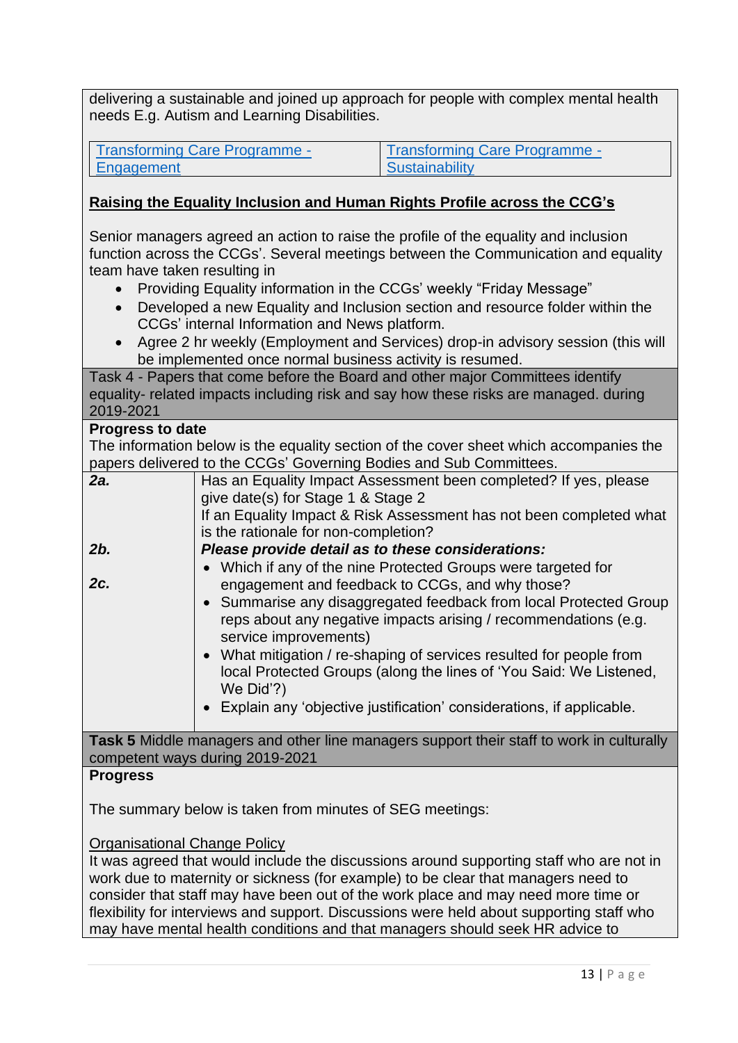delivering a sustainable and joined up approach for people with complex mental health needs E.g. Autism and Learning Disabilities.

[Transforming Care Programme -](https://youtu.be/6AlLRqDa0eU) **[Engagement](https://youtu.be/6AlLRqDa0eU)** 

Transforming Care Programme - **Sustainability** 

# **Raising the Equality Inclusion and Human Rights Profile across the CCG's**

Senior managers agreed an action to raise the profile of the equality and inclusion function across the CCGs'. Several meetings between the Communication and equality team have taken resulting in

- Providing Equality information in the CCGs' weekly "Friday Message"
- Developed a new Equality and Inclusion section and resource folder within the CCGs' internal Information and News platform.
- Agree 2 hr weekly (Employment and Services) drop-in advisory session (this will be implemented once normal business activity is resumed.

Task 4 - Papers that come before the Board and other major Committees identify equality- related impacts including risk and say how these risks are managed. during 2019-2021

#### **Progress to date**

The information below is the equality section of the cover sheet which accompanies the papers delivered to the CCGs' Governing Bodies and Sub Committees.

| 2a. | Has an Equality Impact Assessment been completed? If yes, please<br>give date(s) for Stage 1 & Stage 2<br>If an Equality Impact & Risk Assessment has not been completed what<br>is the rationale for non-completion? |
|-----|-----------------------------------------------------------------------------------------------------------------------------------------------------------------------------------------------------------------------|
| 2b. | Please provide detail as to these considerations:                                                                                                                                                                     |
|     | • Which if any of the nine Protected Groups were targeted for                                                                                                                                                         |
| 2c. | engagement and feedback to CCGs, and why those?                                                                                                                                                                       |
|     | • Summarise any disaggregated feedback from local Protected Group<br>reps about any negative impacts arising / recommendations (e.g.<br>service improvements)                                                         |
|     | • What mitigation / re-shaping of services resulted for people from<br>local Protected Groups (along the lines of 'You Said: We Listened,<br>We Did'?)                                                                |
|     | • Explain any 'objective justification' considerations, if applicable.                                                                                                                                                |

**Task 5** Middle managers and other line managers support their staff to work in culturally competent ways during 2019-2021

#### **Progress**

The summary below is taken from minutes of SEG meetings:

#### Organisational Change Policy

It was agreed that would include the discussions around supporting staff who are not in work due to maternity or sickness (for example) to be clear that managers need to consider that staff may have been out of the work place and may need more time or flexibility for interviews and support. Discussions were held about supporting staff who may have mental health conditions and that managers should seek HR advice to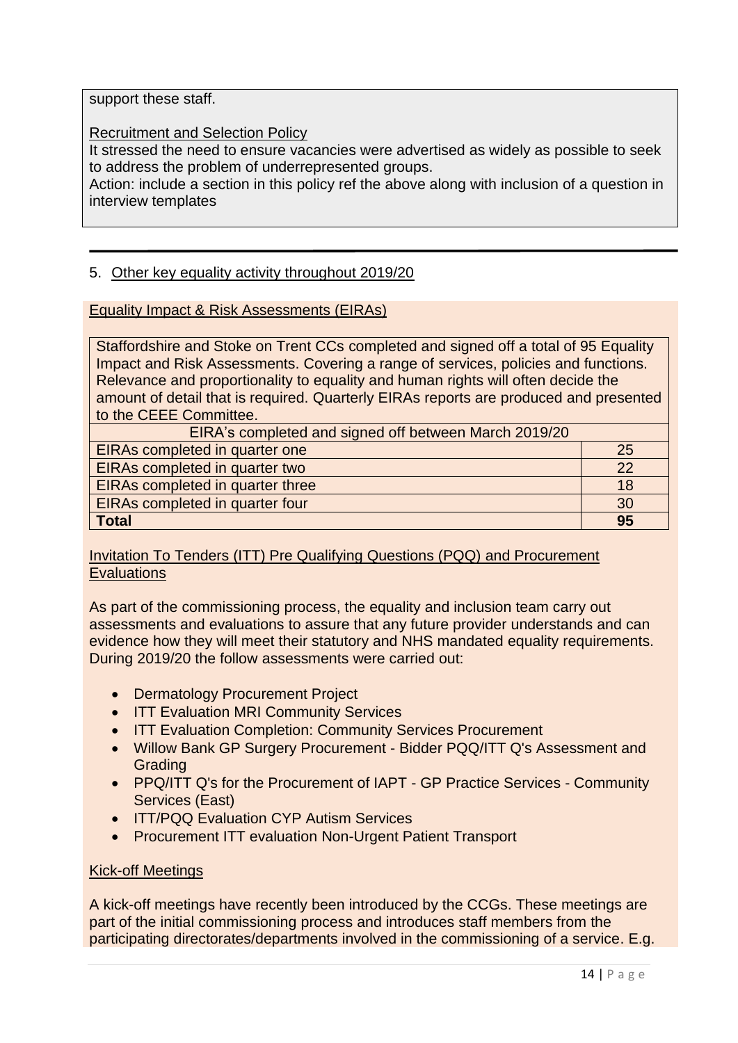support these staff.

Recruitment and Selection Policy

It stressed the need to ensure vacancies were advertised as widely as possible to seek to address the problem of underrepresented groups.

Action: include a section in this policy ref the above along with inclusion of a question in interview templates

## 5. Other key equality activity throughout 2019/20

Equality Impact & Risk Assessments (EIRAs)

Staffordshire and Stoke on Trent CCs completed and signed off a total of 95 Equality Impact and Risk Assessments. Covering a range of services, policies and functions. Relevance and proportionality to equality and human rights will often decide the amount of detail that is required. Quarterly EIRAs reports are produced and presented to the CEEE Committee.

| EIRA's completed and signed off between March 2019/20 |    |
|-------------------------------------------------------|----|
| EIRAs completed in quarter one                        | 25 |
| <b>EIRAs completed in quarter two</b>                 |    |
| <b>EIRAs completed in quarter three</b>               |    |
| <b>EIRAs completed in quarter four</b>                |    |
| <b>Total</b>                                          | 95 |

## Invitation To Tenders (ITT) Pre Qualifying Questions (PQQ) and Procurement **Evaluations**

As part of the commissioning process, the equality and inclusion team carry out assessments and evaluations to assure that any future provider understands and can evidence how they will meet their statutory and NHS mandated equality requirements. During 2019/20 the follow assessments were carried out:

- Dermatology Procurement Project
- ITT Evaluation MRI Community Services
- ITT Evaluation Completion: Community Services Procurement
- Willow Bank GP Surgery Procurement Bidder PQQ/ITT Q's Assessment and Grading
- PPQ/ITT Q's for the Procurement of IAPT GP Practice Services Community Services (East)
- ITT/PQQ Evaluation CYP Autism Services
- Procurement ITT evaluation Non-Urgent Patient Transport

#### Kick-off Meetings

A kick-off meetings have recently been introduced by the CCGs. These meetings are part of the initial commissioning process and introduces staff members from the participating directorates/departments involved in the commissioning of a service. E.g.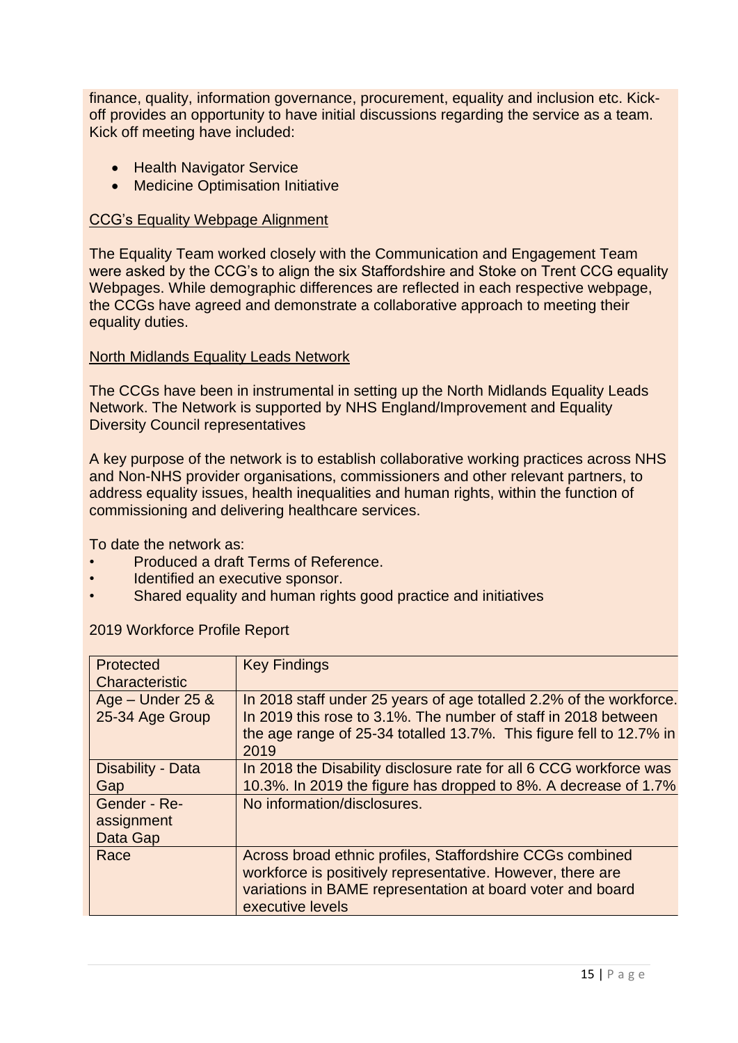finance, quality, information governance, procurement, equality and inclusion etc. Kickoff provides an opportunity to have initial discussions regarding the service as a team. Kick off meeting have included:

- Health Navigator Service
- Medicine Optimisation Initiative

#### CCG's Equality Webpage Alignment

The Equality Team worked closely with the Communication and Engagement Team were asked by the CCG's to align the six Staffordshire and Stoke on Trent CCG equality Webpages. While demographic differences are reflected in each respective webpage, the CCGs have agreed and demonstrate a collaborative approach to meeting their equality duties.

#### North Midlands Equality Leads Network

The CCGs have been in instrumental in setting up the North Midlands Equality Leads Network. The Network is supported by NHS England/Improvement and Equality Diversity Council representatives

A key purpose of the network is to establish collaborative working practices across NHS and Non-NHS provider organisations, commissioners and other relevant partners, to address equality issues, health inequalities and human rights, within the function of commissioning and delivering healthcare services.

To date the network as:

- Produced a draft Terms of Reference.
- Identified an executive sponsor.
- Shared equality and human rights good practice and initiatives

| <b>Protected</b><br>Characteristic     | <b>Key Findings</b>                                                                                                                                                                                                  |
|----------------------------------------|----------------------------------------------------------------------------------------------------------------------------------------------------------------------------------------------------------------------|
| Age $-$ Under 25 &<br>25-34 Age Group  | In 2018 staff under 25 years of age totalled 2.2% of the workforce.<br>In 2019 this rose to 3.1%. The number of staff in 2018 between<br>the age range of 25-34 totalled 13.7%. This figure fell to 12.7% in<br>2019 |
| Disability - Data<br>Gap               | In 2018 the Disability disclosure rate for all 6 CCG workforce was<br>10.3%. In 2019 the figure has dropped to 8%. A decrease of 1.7%                                                                                |
| Gender - Re-<br>assignment<br>Data Gap | No information/disclosures.                                                                                                                                                                                          |
| Race                                   | Across broad ethnic profiles, Staffordshire CCGs combined<br>workforce is positively representative. However, there are<br>variations in BAME representation at board voter and board<br>executive levels            |

#### 2019 Workforce Profile Report